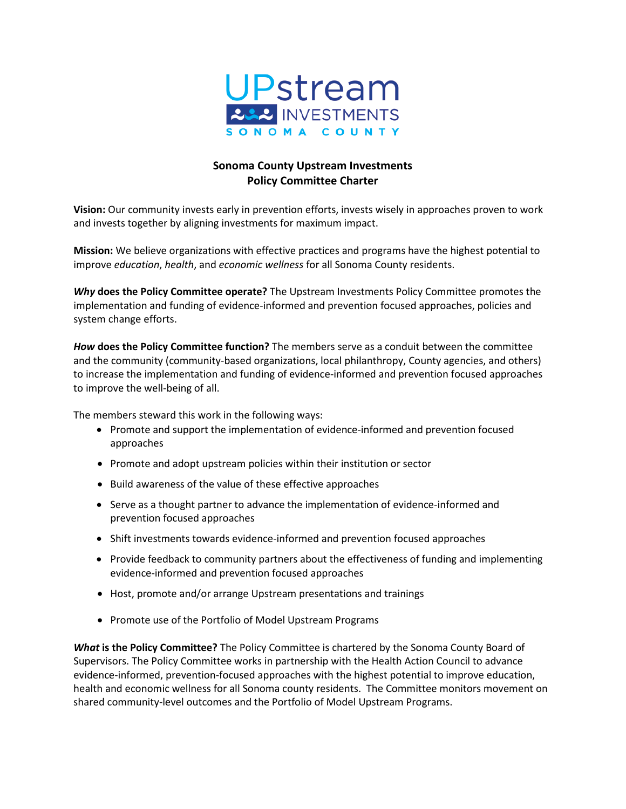

## **Sonoma County Upstream Investments Policy Committee Charter**

**Vision:** Our community invests early in prevention efforts, invests wisely in approaches proven to work and invests together by aligning investments for maximum impact.

**Mission:** We believe organizations with effective practices and programs have the highest potential to improve *education*, *health*, and *economic wellness* for all Sonoma County residents.

*Why* **does the Policy Committee operate?** The Upstream Investments Policy Committee promotes the implementation and funding of evidence-informed and prevention focused approaches, policies and system change efforts.

*How* **does the Policy Committee function?** The members serve as a conduit between the committee and the community (community-based organizations, local philanthropy, County agencies, and others) to increase the implementation and funding of evidence-informed and prevention focused approaches to improve the well-being of all.

The members steward this work in the following ways:

- Promote and support the implementation of evidence-informed and prevention focused approaches
- Promote and adopt upstream policies within their institution or sector
- Build awareness of the value of these effective approaches
- Serve as a thought partner to advance the implementation of evidence-informed and prevention focused approaches
- Shift investments towards evidence-informed and prevention focused approaches
- Provide feedback to community partners about the effectiveness of funding and implementing evidence-informed and prevention focused approaches
- Host, promote and/or arrange Upstream presentations and trainings
- Promote use of the Portfolio of Model Upstream Programs

*What* **is the Policy Committee?** The Policy Committee is chartered by the Sonoma County Board of Supervisors. The Policy Committee works in partnership with the Health Action Council to advance evidence-informed, prevention-focused approaches with the highest potential to improve education, health and economic wellness for all Sonoma county residents. The Committee monitors movement on shared community-level outcomes and the Portfolio of Model Upstream Programs.